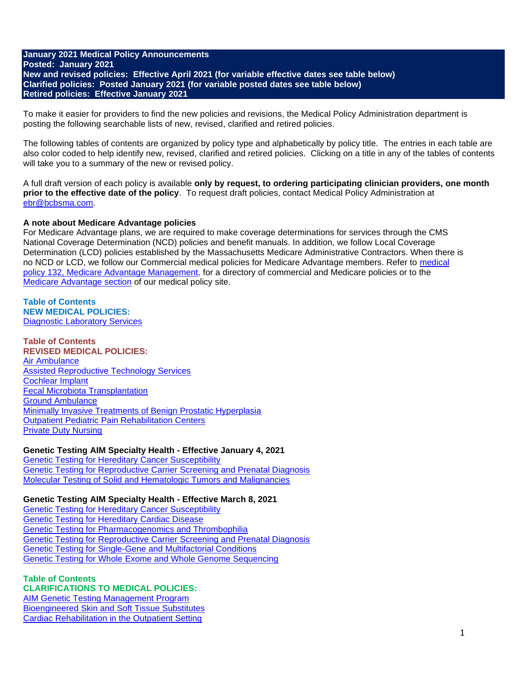### **January 2021 Medical Policy Announcements Posted: January 2021 New and revised policies: Effective April 2021 (for variable effective dates see table below) Clarified policies: Posted January 2021 (for variable posted dates see table below) Retired policies: Effective January 2021**

To make it easier for providers to find the new policies and revisions, the Medical Policy Administration department is posting the following searchable lists of new, revised, clarified and retired policies.

The following tables of contents are organized by policy type and alphabetically by policy title. The entries in each table are also color coded to help identify new, revised, clarified and retired policies. Clicking on a title in any of the tables of contents will take you to a summary of the new or revised policy.

A full draft version of each policy is available **only by request, to ordering participating clinician providers, one month prior to the effective date of the policy**. To request draft policies, contact Medical Policy Administration at [ebr@bcbsma.com.](mailto:ebr@bcbsma.com)

### **A note about Medicare Advantage policies**

For Medicare Advantage plans, we are required to make coverage determinations for services through the CMS National Coverage Determination (NCD) policies and benefit manuals. In addition, we follow Local Coverage Determination (LCD) policies established by the Massachusetts Medicare Administrative Contractors. When there is no NCD or LCD, we follow our Commercial medical policies for Medicare Advantage members. Refer to [medical](https://www.bluecrossma.org/medical-policies/sites/g/files/csphws2091/files/acquiadam-assets/132%20Medicare%20Advantage%20Management.pdf)  [policy 132, Medicare Advantage Management,](https://www.bluecrossma.org/medical-policies/sites/g/files/csphws2091/files/acquiadam-assets/132%20Medicare%20Advantage%20Management.pdf) for a directory of commercial and Medicare policies or to the [Medicare Advantage section](https://www.bluecrossma.org/medical-policies/medicare-advantage-policies) of our medical policy site.

#### **Table of Contents NEW MEDICAL POLICIES:** [Diagnostic Laboratory Services](#page-1-0)

**Table of Contents REVISED MEDICAL POLICIES:** [Air Ambulance](#page-1-1)  [Assisted Reproductive Technology Services](#page-1-2) [Cochlear Implant](#page-2-0) [Fecal Microbiota Transplantation](#page-2-1) [Ground Ambulance](#page-2-2) [Minimally Invasive Treatments of Benign Prostatic Hyperplasia](#page-2-3) [Outpatient Pediatric Pain Rehabilitation Centers](#page-2-4) [Private Duty Nursing](#page-3-0)

### **Genetic Testing AIM Specialty Health - Effective January 4, 2021**

[Genetic Testing for Hereditary Cancer Susceptibility](#page-3-1) [Genetic Testing for Reproductive Carrier Screening and Prenatal Diagnosis](#page-3-2) [Molecular Testing of Solid and Hematologic Tumors and Malignancies](#page-3-3)

### **Genetic Testing AIM Specialty Health - Effective March 8, 2021**

[Genetic Testing for Hereditary Cancer Susceptibility](#page-3-4) [Genetic Testing for Hereditary Cardiac Disease](#page-4-0) [Genetic Testing for Pharmacogenomics and Thrombophilia](#page-4-1) [Genetic Testing for Reproductive Carrier Screening and Prenatal Diagnosis](#page-4-2) [Genetic Testing for Single-Gene and Multifactorial Conditions](#page-4-3) [Genetic Testing for Whole Exome and Whole Genome Sequencing](#page-4-4)

#### **Table of Contents CLARIFICATIONS TO MEDICAL POLICIES:**

[AIM Genetic Testing Management Program](#page-4-5) [Bioengineered Skin and Soft Tissue Substitutes](#page-4-6) [Cardiac Rehabilitation in the Outpatient Setting](#page-4-7)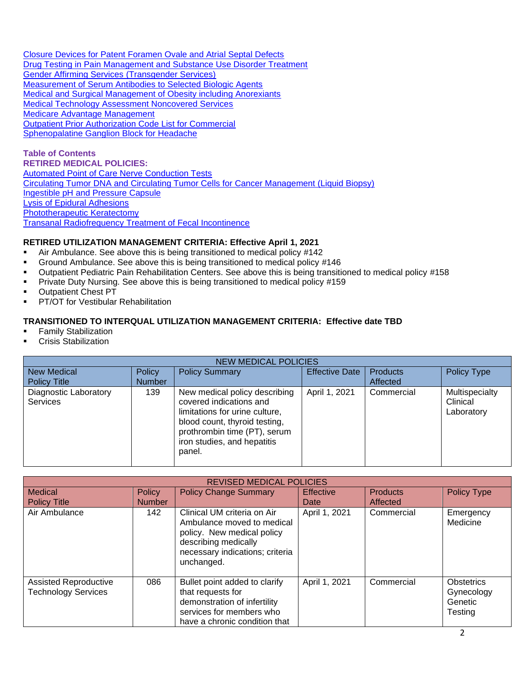[Closure Devices for Patent Foramen Ovale and Atrial Septal Defects](#page-4-8) [Drug Testing in Pain Management and Substance Use Disorder Treatment](#page-5-0) [Gender Affirming Services \(Transgender Services\)](#page-5-1) [Measurement of Serum Antibodies to Selected Biologic Agents](#page-5-2) [Medical and Surgical Management of Obesity including Anorexiants](#page-5-3) Medical [Technology Assessment Noncovered Services](#page-5-4) [Medicare Advantage Management](#page-5-5) [Outpatient Prior Authorization Code List for Commercial](#page-5-6) [Sphenopalatine Ganglion Block for Headache](#page-5-7)

**Table of Contents RETIRED MEDICAL POLICIES:** [Automated Point of Care Nerve Conduction Tests](#page-6-0) [Circulating Tumor DNA and Circulating Tumor Cells for Cancer Management \(Liquid Biopsy\)](#page-6-1) [Ingestible pH and Pressure Capsule](#page-6-2) [Lysis of Epidural Adhesions](#page-6-3) [Phototherapeutic Keratectomy](#page-6-4) [Transanal Radiofrequency Treatment of Fecal Incontinence](#page-6-5)

## **RETIRED UTILIZATION MANAGEMENT CRITERIA: Effective April 1, 2021**

- Air Ambulance. See above this is being transitioned to medical policy #142
- Ground Ambulance. See above this is being transitioned to medical policy #146
- Outpatient Pediatric Pain Rehabilitation Centers. See above this is being transitioned to medical policy #158
- **Private Duty Nursing. See above this is being transitioned to medical policy #159**
- Outpatient Chest PT
- **PT/OT for Vestibular Rehabilitation**

### **TRANSITIONED TO INTERQUAL UTILIZATION MANAGEMENT CRITERIA: Effective date TBD**

- **Family Stabilization**
- Crisis Stabilization

<span id="page-1-0"></span>

| <b>NEW MEDICAL POLICIES</b>              |               |                                                                                                                                                                                                      |                       |                 |                                          |  |
|------------------------------------------|---------------|------------------------------------------------------------------------------------------------------------------------------------------------------------------------------------------------------|-----------------------|-----------------|------------------------------------------|--|
| <b>New Medical</b>                       | <b>Policy</b> | <b>Policy Summary</b>                                                                                                                                                                                | <b>Effective Date</b> | <b>Products</b> | <b>Policy Type</b>                       |  |
| <b>Policy Title</b>                      | <b>Number</b> |                                                                                                                                                                                                      |                       | Affected        |                                          |  |
| Diagnostic Laboratory<br><b>Services</b> | 139           | New medical policy describing<br>covered indications and<br>limitations for urine culture,<br>blood count, thyroid testing,<br>prothrombin time (PT), serum<br>iron studies, and hepatitis<br>panel. | April 1, 2021         | Commercial      | Multispecialty<br>Clinical<br>Laboratory |  |

<span id="page-1-2"></span><span id="page-1-1"></span>

| <b>REVISED MEDICAL POLICIES</b>                            |               |                                                                                                                                                                  |                  |                 |                                                       |  |
|------------------------------------------------------------|---------------|------------------------------------------------------------------------------------------------------------------------------------------------------------------|------------------|-----------------|-------------------------------------------------------|--|
| <b>Medical</b>                                             | <b>Policy</b> | <b>Policy Change Summary</b>                                                                                                                                     | <b>Effective</b> | <b>Products</b> | <b>Policy Type</b>                                    |  |
| <b>Policy Title</b>                                        | <b>Number</b> |                                                                                                                                                                  | Date             | Affected        |                                                       |  |
| Air Ambulance                                              | 142           | Clinical UM criteria on Air<br>Ambulance moved to medical<br>policy. New medical policy<br>describing medically<br>necessary indications; criteria<br>unchanged. | April 1, 2021    | Commercial      | Emergency<br>Medicine                                 |  |
| <b>Assisted Reproductive</b><br><b>Technology Services</b> | 086           | Bullet point added to clarify<br>that requests for<br>demonstration of infertility<br>services for members who<br>have a chronic condition that                  | April 1, 2021    | Commercial      | <b>Obstetrics</b><br>Gynecology<br>Genetic<br>Testing |  |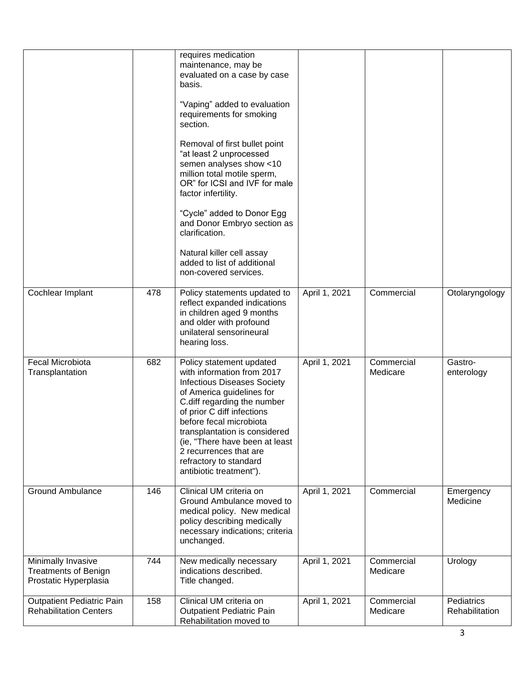<span id="page-2-4"></span><span id="page-2-3"></span><span id="page-2-2"></span><span id="page-2-1"></span><span id="page-2-0"></span>

|                                                                            |     | requires medication<br>maintenance, may be<br>evaluated on a case by case<br>basis.<br>"Vaping" added to evaluation<br>requirements for smoking<br>section.<br>Removal of first bullet point<br>"at least 2 unprocessed<br>semen analyses show <10<br>million total motile sperm,<br>OR" for ICSI and IVF for male<br>factor infertility.<br>"Cycle" added to Donor Egg<br>and Donor Embryo section as<br>clarification.<br>Natural killer cell assay<br>added to list of additional<br>non-covered services. |               |                        |                              |
|----------------------------------------------------------------------------|-----|---------------------------------------------------------------------------------------------------------------------------------------------------------------------------------------------------------------------------------------------------------------------------------------------------------------------------------------------------------------------------------------------------------------------------------------------------------------------------------------------------------------|---------------|------------------------|------------------------------|
| Cochlear Implant                                                           | 478 | Policy statements updated to<br>reflect expanded indications<br>in children aged 9 months<br>and older with profound<br>unilateral sensorineural<br>hearing loss.                                                                                                                                                                                                                                                                                                                                             | April 1, 2021 | Commercial             | Otolaryngology               |
| Fecal Microbiota<br>Transplantation                                        | 682 | Policy statement updated<br>with information from 2017<br><b>Infectious Diseases Society</b><br>of America guidelines for<br>C.diff regarding the number<br>of prior C diff infections<br>before fecal microbiota<br>transplantation is considered<br>(ie, "There have been at least<br>2 recurrences that are<br>refractory to standard<br>antibiotic treatment").                                                                                                                                           | April 1, 2021 | Commercial<br>Medicare | Gastro-<br>enterology        |
| <b>Ground Ambulance</b>                                                    | 146 | Clinical UM criteria on<br>Ground Ambulance moved to<br>medical policy. New medical<br>policy describing medically<br>necessary indications; criteria<br>unchanged.                                                                                                                                                                                                                                                                                                                                           | April 1, 2021 | Commercial             | Emergency<br>Medicine        |
| Minimally Invasive<br><b>Treatments of Benign</b><br>Prostatic Hyperplasia | 744 | New medically necessary<br>indications described.<br>Title changed.                                                                                                                                                                                                                                                                                                                                                                                                                                           | April 1, 2021 | Commercial<br>Medicare | Urology                      |
| <b>Outpatient Pediatric Pain</b><br><b>Rehabilitation Centers</b>          | 158 | Clinical UM criteria on<br><b>Outpatient Pediatric Pain</b><br>Rehabilitation moved to                                                                                                                                                                                                                                                                                                                                                                                                                        | April 1, 2021 | Commercial<br>Medicare | Pediatrics<br>Rehabilitation |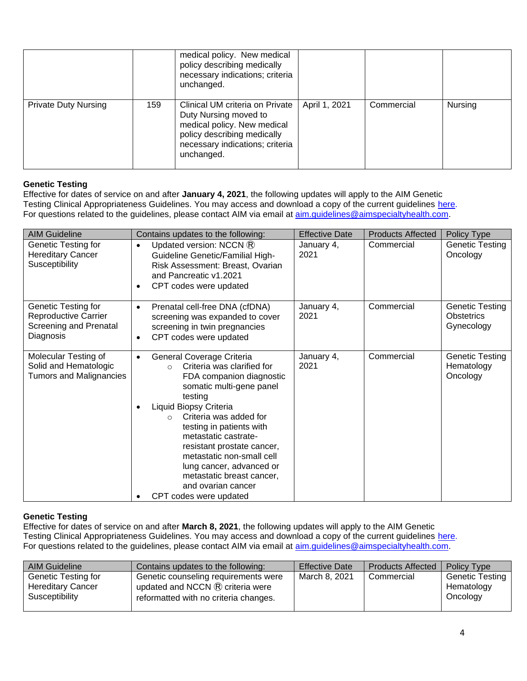<span id="page-3-0"></span>

|                             |     | medical policy. New medical<br>policy describing medically<br>necessary indications; criteria<br>unchanged.                                                             |               |            |         |
|-----------------------------|-----|-------------------------------------------------------------------------------------------------------------------------------------------------------------------------|---------------|------------|---------|
| <b>Private Duty Nursing</b> | 159 | Clinical UM criteria on Private<br>Duty Nursing moved to<br>medical policy. New medical<br>policy describing medically<br>necessary indications; criteria<br>unchanged. | April 1, 2021 | Commercial | Nursing |

# **Genetic Testing**

Effective for dates of service on and after **January 4, 2021**, the following updates will apply to the AIM Genetic Testing Clinical Appropriateness Guidelines. You may access and download a copy of the current guidelines [here.](https://aimspecialtyhealth.com/resources/clinical-guidelines/genetic-testing/) For questions related to the guidelines, please contact AIM via email at **aim.guidelines@aimspecialtyhealth.com**.

<span id="page-3-3"></span><span id="page-3-2"></span><span id="page-3-1"></span>

| <b>AIM Guideline</b>                                                               | Contains updates to the following:                                                                                                                                                                                                                                                                                                                                                                                            | <b>Effective Date</b> | <b>Products Affected</b> | Policy Type                                      |
|------------------------------------------------------------------------------------|-------------------------------------------------------------------------------------------------------------------------------------------------------------------------------------------------------------------------------------------------------------------------------------------------------------------------------------------------------------------------------------------------------------------------------|-----------------------|--------------------------|--------------------------------------------------|
| Genetic Testing for<br><b>Hereditary Cancer</b><br>Susceptibility                  | Updated version: NCCN $\mathbb{R}$<br>$\bullet$<br><b>Guideline Genetic/Familial High-</b><br>Risk Assessment: Breast, Ovarian<br>and Pancreatic v1.2021<br>CPT codes were updated<br>$\bullet$                                                                                                                                                                                                                               | January 4,<br>2021    | Commercial               | Genetic Testing<br>Oncology                      |
| Genetic Testing for<br>Reproductive Carrier<br>Screening and Prenatal<br>Diagnosis | Prenatal cell-free DNA (cfDNA)<br>$\bullet$<br>screening was expanded to cover<br>screening in twin pregnancies<br>CPT codes were updated<br>$\bullet$                                                                                                                                                                                                                                                                        | January 4,<br>2021    | Commercial               | Genetic Testing<br>Obstetrics<br>Gynecology      |
| Molecular Testing of<br>Solid and Hematologic<br><b>Tumors and Malignancies</b>    | General Coverage Criteria<br>Criteria was clarified for<br>$\circ$<br>FDA companion diagnostic<br>somatic multi-gene panel<br>testing<br>Liquid Biopsy Criteria<br>Criteria was added for<br>$\Omega$<br>testing in patients with<br>metastatic castrate-<br>resistant prostate cancer,<br>metastatic non-small cell<br>lung cancer, advanced or<br>metastatic breast cancer,<br>and ovarian cancer<br>CPT codes were updated | January 4,<br>2021    | Commercial               | <b>Genetic Testing</b><br>Hematology<br>Oncology |

### **Genetic Testing**

Effective for dates of service on and after **March 8, 2021**, the following updates will apply to the AIM Genetic Testing Clinical Appropriateness Guidelines. You may access and download a copy of the current guidelines [here.](https://aimspecialtyhealth.com/resources/clinical-guidelines/genetic-testing/) For questions related to the guidelines, please contact AIM via email at [aim.guidelines@aimspecialtyhealth.com.](mailto:aim.guidelines@aimspecialtyhealth.com)

<span id="page-3-4"></span>

| <b>AIM Guideline</b>     | Contains updates to the following:         | <b>Effective Date</b> | <b>Products Affected</b> | <b>Policy Type</b> |
|--------------------------|--------------------------------------------|-----------------------|--------------------------|--------------------|
| Genetic Testing for      | Genetic counseling requirements were       | March 8, 2021         | Commercial               | Genetic Testing    |
| <b>Hereditary Cancer</b> | updated and NCCN $\mathbb R$ criteria were |                       |                          | Hematology         |
| Susceptibility           | reformatted with no criteria changes.      |                       |                          | Oncology           |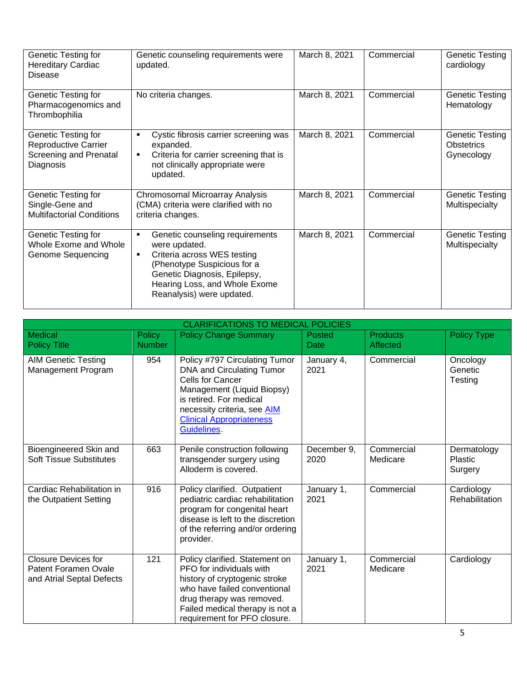<span id="page-4-2"></span><span id="page-4-1"></span><span id="page-4-0"></span>

| Genetic Testing for<br><b>Hereditary Cardiac</b><br><b>Disease</b>                        | Genetic counseling requirements were<br>updated.                                                                                                                                                                                                 | March 8, 2021 | Commercial | <b>Genetic Testing</b><br>cardiology                      |
|-------------------------------------------------------------------------------------------|--------------------------------------------------------------------------------------------------------------------------------------------------------------------------------------------------------------------------------------------------|---------------|------------|-----------------------------------------------------------|
| Genetic Testing for<br>Pharmacogenomics and<br>Thrombophilia                              | No criteria changes.                                                                                                                                                                                                                             | March 8, 2021 | Commercial | <b>Genetic Testing</b><br>Hematology                      |
| Genetic Testing for<br><b>Reproductive Carrier</b><br>Screening and Prenatal<br>Diagnosis | Cystic fibrosis carrier screening was<br>expanded.<br>Criteria for carrier screening that is<br>$\blacksquare$<br>not clinically appropriate were<br>updated.                                                                                    | March 8, 2021 | Commercial | <b>Genetic Testing</b><br><b>Obstetrics</b><br>Gynecology |
| Genetic Testing for<br>Single-Gene and<br><b>Multifactorial Conditions</b>                | Chromosomal Microarray Analysis<br>(CMA) criteria were clarified with no<br>criteria changes.                                                                                                                                                    | March 8, 2021 | Commercial | Genetic Testing<br>Multispecialty                         |
| Genetic Testing for<br>Whole Exome and Whole<br>Genome Sequencing                         | Genetic counseling requirements<br>$\blacksquare$<br>were updated.<br>Criteria across WES testing<br>$\blacksquare$<br>(Phenotype Suspicious for a<br>Genetic Diagnosis, Epilepsy,<br>Hearing Loss, and Whole Exome<br>Reanalysis) were updated. | March 8, 2021 | Commercial | Genetic Testing<br>Multispecialty                         |

<span id="page-4-8"></span><span id="page-4-7"></span><span id="page-4-6"></span><span id="page-4-5"></span><span id="page-4-4"></span><span id="page-4-3"></span>

| <b>CLARIFICATIONS TO MEDICAL POLICIES</b>                                       |                                |                                                                                                                                                                                                                             |                     |                             |                                          |  |
|---------------------------------------------------------------------------------|--------------------------------|-----------------------------------------------------------------------------------------------------------------------------------------------------------------------------------------------------------------------------|---------------------|-----------------------------|------------------------------------------|--|
| <b>Medical</b><br><b>Policy Title</b>                                           | <b>Policy</b><br><b>Number</b> | <b>Policy Change Summary</b>                                                                                                                                                                                                | Posted<br>Date      | <b>Products</b><br>Affected | <b>Policy Type</b>                       |  |
| <b>AIM Genetic Testing</b><br>Management Program                                | 954                            | Policy #797 Circulating Tumor<br>DNA and Circulating Tumor<br>Cells for Cancer<br>Management (Liquid Biopsy)<br>is retired. For medical<br>necessity criteria, see AIM<br><b>Clinical Appropriateness</b><br>Guidelines.    | January 4,<br>2021  | Commercial                  | Oncology<br>Genetic<br>Testing           |  |
| Bioengineered Skin and<br><b>Soft Tissue Substitutes</b>                        | 663                            | Penile construction following<br>transgender surgery using<br>Alloderm is covered.                                                                                                                                          | December 9,<br>2020 | Commercial<br>Medicare      | Dermatology<br><b>Plastic</b><br>Surgery |  |
| Cardiac Rehabilitation in<br>the Outpatient Setting                             | 916                            | Policy clarified. Outpatient<br>pediatric cardiac rehabilitation<br>program for congenital heart<br>disease is left to the discretion<br>of the referring and/or ordering<br>provider.                                      | January 1,<br>2021  | Commercial                  | Cardiology<br>Rehabilitation             |  |
| <b>Closure Devices for</b><br>Patent Foramen Ovale<br>and Atrial Septal Defects | 121                            | Policy clarified. Statement on<br>PFO for individuals with<br>history of cryptogenic stroke<br>who have failed conventional<br>drug therapy was removed.<br>Failed medical therapy is not a<br>requirement for PFO closure. | January 1,<br>2021  | Commercial<br>Medicare      | Cardiology                               |  |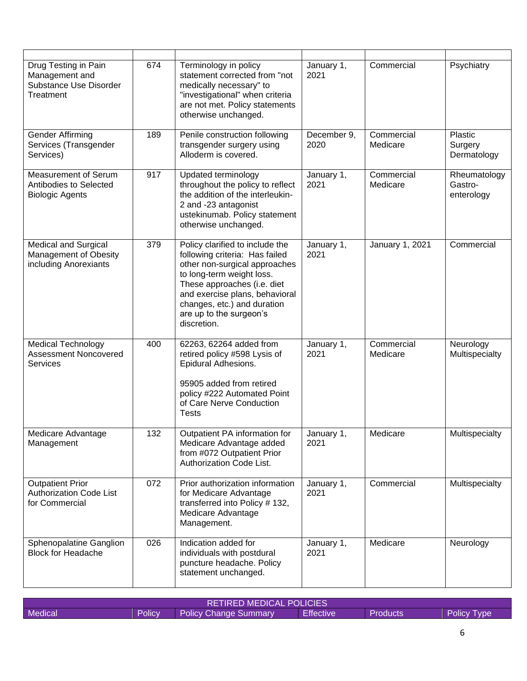<span id="page-5-3"></span><span id="page-5-2"></span><span id="page-5-1"></span><span id="page-5-0"></span>

| Drug Testing in Pain<br>Management and<br>Substance Use Disorder<br>Treatment | 674 | Terminology in policy<br>statement corrected from "not<br>medically necessary" to<br>"investigational" when criteria<br>are not met. Policy statements<br>otherwise unchanged.                                                                                            | January 1,<br>2021  | Commercial             | Psychiatry                            |
|-------------------------------------------------------------------------------|-----|---------------------------------------------------------------------------------------------------------------------------------------------------------------------------------------------------------------------------------------------------------------------------|---------------------|------------------------|---------------------------------------|
| Gender Affirming<br>Services (Transgender<br>Services)                        | 189 | Penile construction following<br>transgender surgery using<br>Alloderm is covered.                                                                                                                                                                                        | December 9,<br>2020 | Commercial<br>Medicare | Plastic<br>Surgery<br>Dermatology     |
| Measurement of Serum<br>Antibodies to Selected<br><b>Biologic Agents</b>      | 917 | Updated terminology<br>throughout the policy to reflect<br>the addition of the interleukin-<br>2 and -23 antagonist<br>ustekinumab. Policy statement<br>otherwise unchanged.                                                                                              | January 1,<br>2021  | Commercial<br>Medicare | Rheumatology<br>Gastro-<br>enterology |
| Medical and Surgical<br>Management of Obesity<br>including Anorexiants        | 379 | Policy clarified to include the<br>following criteria: Has failed<br>other non-surgical approaches<br>to long-term weight loss.<br>These approaches (i.e. diet<br>and exercise plans, behavioral<br>changes, etc.) and duration<br>are up to the surgeon's<br>discretion. | January 1,<br>2021  | January 1, 2021        | Commercial                            |
| <b>Medical Technology</b><br>Assessment Noncovered<br><b>Services</b>         | 400 | 62263, 62264 added from<br>retired policy #598 Lysis of<br>Epidural Adhesions.<br>95905 added from retired<br>policy #222 Automated Point<br>of Care Nerve Conduction<br><b>Tests</b>                                                                                     | January 1,<br>2021  | Commercial<br>Medicare | Neurology<br>Multispecialty           |
| Medicare Advantage<br>Management                                              | 132 | Outpatient PA information for<br>Medicare Advantage added<br>from #072 Outpatient Prior<br>Authorization Code List.                                                                                                                                                       | January 1<br>2021   | Medicare               | Multispecialty                        |
| <b>Outpatient Prior</b><br><b>Authorization Code List</b><br>for Commercial   | 072 | Prior authorization information<br>for Medicare Advantage<br>transferred into Policy #132,<br>Medicare Advantage<br>Management.                                                                                                                                           | January 1,<br>2021  | Commercial             | Multispecialty                        |
| Sphenopalatine Ganglion<br><b>Block for Headache</b>                          | 026 | Indication added for<br>individuals with postdural<br>puncture headache. Policy<br>statement unchanged.                                                                                                                                                                   | January 1,<br>2021  | Medicare               | Neurology                             |

<span id="page-5-7"></span><span id="page-5-6"></span><span id="page-5-5"></span><span id="page-5-4"></span>

| <b>RETIRED MEDICAL POLICIES</b> |        |                              |                  |          |                    |
|---------------------------------|--------|------------------------------|------------------|----------|--------------------|
| <b>Medical</b>                  | Policy | <b>Policy Change Summary</b> | <b>Effective</b> | Products | <b>Policy Type</b> |

 $\overline{\phantom{a}}$